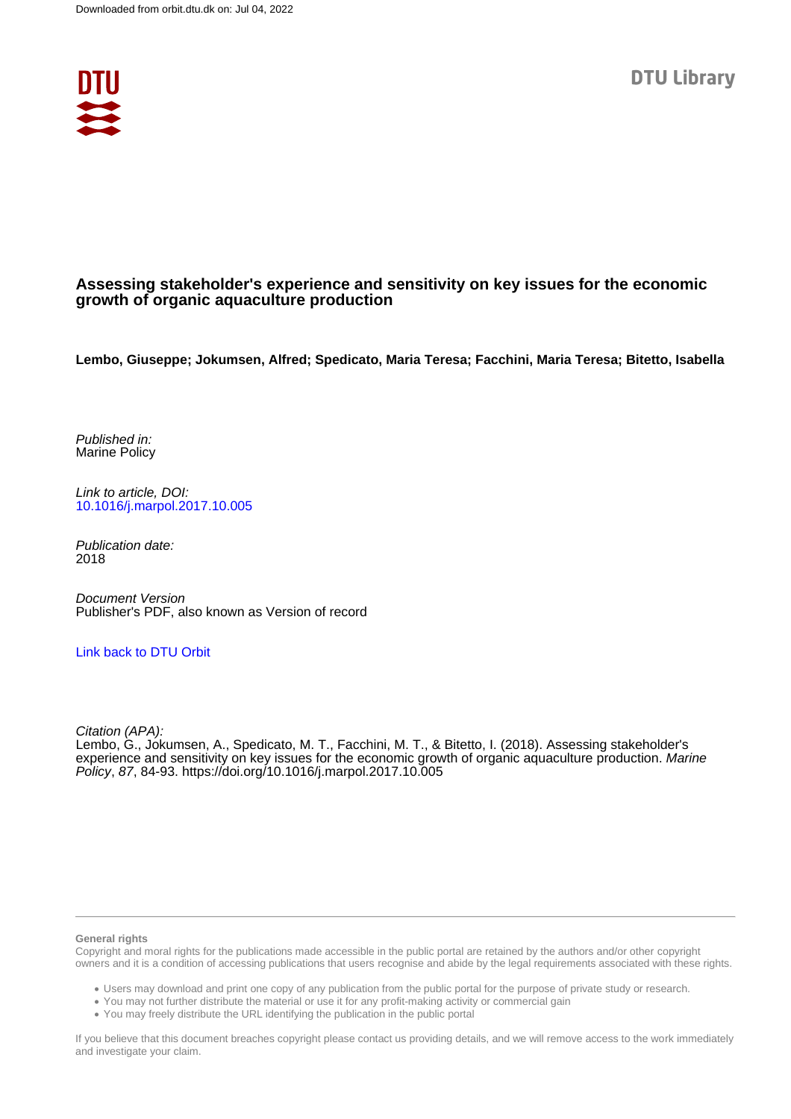

# **Assessing stakeholder's experience and sensitivity on key issues for the economic growth of organic aquaculture production**

**Lembo, Giuseppe; Jokumsen, Alfred; Spedicato, Maria Teresa; Facchini, Maria Teresa; Bitetto, Isabella**

Published in: Marine Policy

Link to article, DOI: [10.1016/j.marpol.2017.10.005](https://doi.org/10.1016/j.marpol.2017.10.005)

Publication date: 2018

Document Version Publisher's PDF, also known as Version of record

## [Link back to DTU Orbit](https://orbit.dtu.dk/en/publications/f09a41fb-4c16-4732-b5a7-3bc31c0fe090)

Citation (APA):

Lembo, G., Jókumsen, A., Spedicato, M. T., Facchini, M. T., & Bitetto, I. (2018). Assessing stakeholder's experience and sensitivity on key issues for the economic growth of organic aquaculture production. Marine Policy, 87, 84-93.<https://doi.org/10.1016/j.marpol.2017.10.005>

#### **General rights**

Copyright and moral rights for the publications made accessible in the public portal are retained by the authors and/or other copyright owners and it is a condition of accessing publications that users recognise and abide by the legal requirements associated with these rights.

Users may download and print one copy of any publication from the public portal for the purpose of private study or research.

- You may not further distribute the material or use it for any profit-making activity or commercial gain
- You may freely distribute the URL identifying the publication in the public portal

If you believe that this document breaches copyright please contact us providing details, and we will remove access to the work immediately and investigate your claim.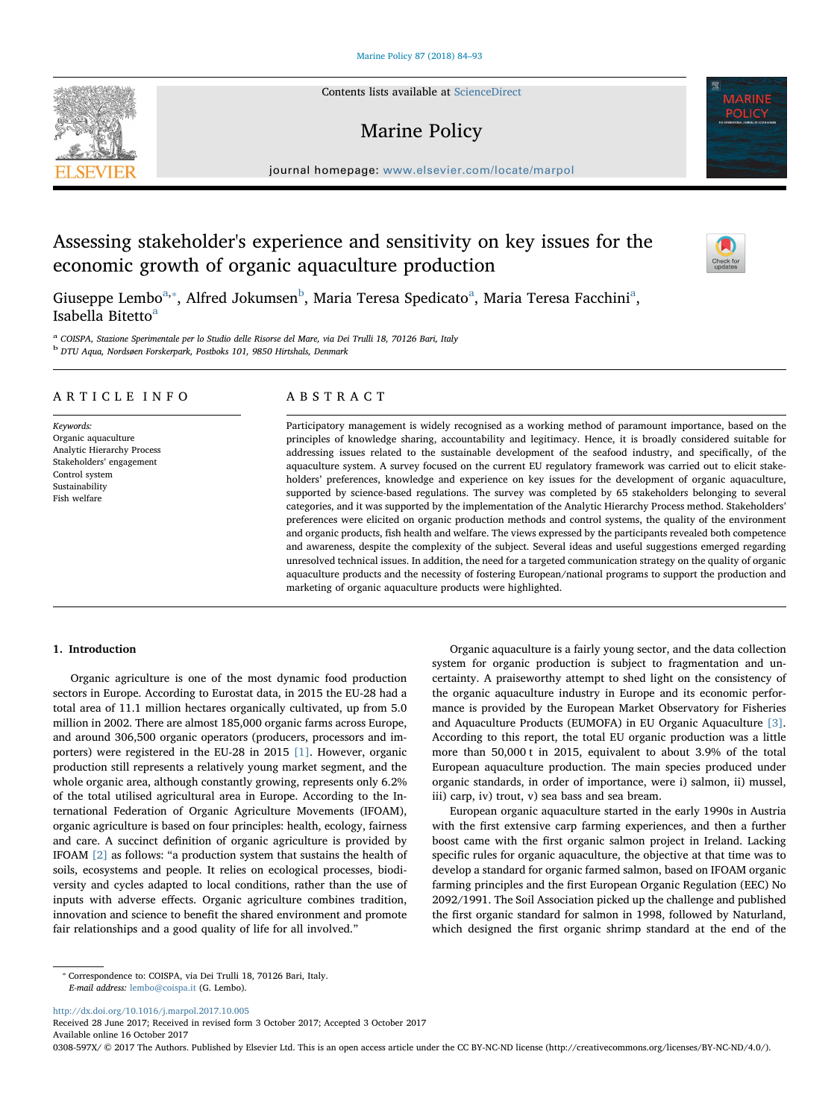Contents lists available at [ScienceDirect](http://www.sciencedirect.com/science/journal/0308597X)

# Marine Policy

journal homepage: [www.elsevier.com/locate/marpol](https://www.elsevier.com/locate/marpol)

# Assessing stakeholder's experience and sensitivity on key issues for the economic growth of organic aquaculture production

Giuseppe Lembo<sup>[a](#page-1-0),</sup>\*, Alfred Jokumsen<sup>[b](#page-1-2)</sup>, Maria Teresa Spedicato<sup>a</sup>, Maria Teresa Facchini<sup>a</sup>, Is[a](#page-1-0)bella Bitetto<sup>a</sup>

<span id="page-1-2"></span><span id="page-1-0"></span><sup>a</sup> COISPA, Stazione Sperimentale per lo Studio delle Risorse del Mare, via Dei Trulli 18, 70126 Bari, Italy <sup>b</sup> DTU Aqua, Nordsøen Forskerpark, Postboks 101, 9850 Hirtshals, Denmark

### ARTICLE INFO

Keywords: Organic aquaculture Analytic Hierarchy Process Stakeholders' engagement Control system Sustainability Fish welfare

### ABSTRACT

Participatory management is widely recognised as a working method of paramount importance, based on the principles of knowledge sharing, accountability and legitimacy. Hence, it is broadly considered suitable for addressing issues related to the sustainable development of the seafood industry, and specifically, of the aquaculture system. A survey focused on the current EU regulatory framework was carried out to elicit stakeholders' preferences, knowledge and experience on key issues for the development of organic aquaculture, supported by science-based regulations. The survey was completed by 65 stakeholders belonging to several categories, and it was supported by the implementation of the Analytic Hierarchy Process method. Stakeholders' preferences were elicited on organic production methods and control systems, the quality of the environment and organic products, fish health and welfare. The views expressed by the participants revealed both competence and awareness, despite the complexity of the subject. Several ideas and useful suggestions emerged regarding unresolved technical issues. In addition, the need for a targeted communication strategy on the quality of organic aquaculture products and the necessity of fostering European/national programs to support the production and marketing of organic aquaculture products were highlighted.

#### 1. Introduction

Organic agriculture is one of the most dynamic food production sectors in Europe. According to Eurostat data, in 2015 the EU-28 had a total area of 11.1 million hectares organically cultivated, up from 5.0 million in 2002. There are almost 185,000 organic farms across Europe, and around 306,500 organic operators (producers, processors and importers) were registered in the EU-28 in 2015 [\[1\].](#page-9-0) However, organic production still represents a relatively young market segment, and the whole organic area, although constantly growing, represents only 6.2% of the total utilised agricultural area in Europe. According to the International Federation of Organic Agriculture Movements (IFOAM), organic agriculture is based on four principles: health, ecology, fairness and care. A succinct definition of organic agriculture is provided by IFOAM [\[2\]](#page-9-1) as follows: "a production system that sustains the health of soils, ecosystems and people. It relies on ecological processes, biodiversity and cycles adapted to local conditions, rather than the use of inputs with adverse effects. Organic agriculture combines tradition, innovation and science to benefit the shared environment and promote fair relationships and a good quality of life for all involved."

Organic aquaculture is a fairly young sector, and the data collection system for organic production is subject to fragmentation and uncertainty. A praiseworthy attempt to shed light on the consistency of the organic aquaculture industry in Europe and its economic performance is provided by the European Market Observatory for Fisheries and Aquaculture Products (EUMOFA) in EU Organic Aquaculture [\[3\]](#page-9-2). According to this report, the total EU organic production was a little more than 50,000 t in 2015, equivalent to about 3.9% of the total European aquaculture production. The main species produced under organic standards, in order of importance, were i) salmon, ii) mussel, iii) carp, iv) trout, v) sea bass and sea bream.

European organic aquaculture started in the early 1990s in Austria with the first extensive carp farming experiences, and then a further boost came with the first organic salmon project in Ireland. Lacking specific rules for organic aquaculture, the objective at that time was to develop a standard for organic farmed salmon, based on IFOAM organic farming principles and the first European Organic Regulation (EEC) No 2092/1991. The Soil Association picked up the challenge and published the first organic standard for salmon in 1998, followed by Naturland, which designed the first organic shrimp standard at the end of the

<http://dx.doi.org/10.1016/j.marpol.2017.10.005>

Received 28 June 2017; Received in revised form 3 October 2017; Accepted 3 October 2017 Available online 16 October 2017

0308-597X/ © 2017 The Authors. Published by Elsevier Ltd. This is an open access article under the CC BY-NC-ND license (http://creativecommons.org/licenses/BY-NC-ND/4.0/).





[T](http://crossmark.crossref.org/dialog/?doi=10.1016/j.marpol.2017.10.005&domain=pdf)

<span id="page-1-1"></span><sup>⁎</sup> Correspondence to: COISPA, via Dei Trulli 18, 70126 Bari, Italy. E-mail address: [lembo@coispa.it](mailto:lembo@coispa.it) (G. Lembo).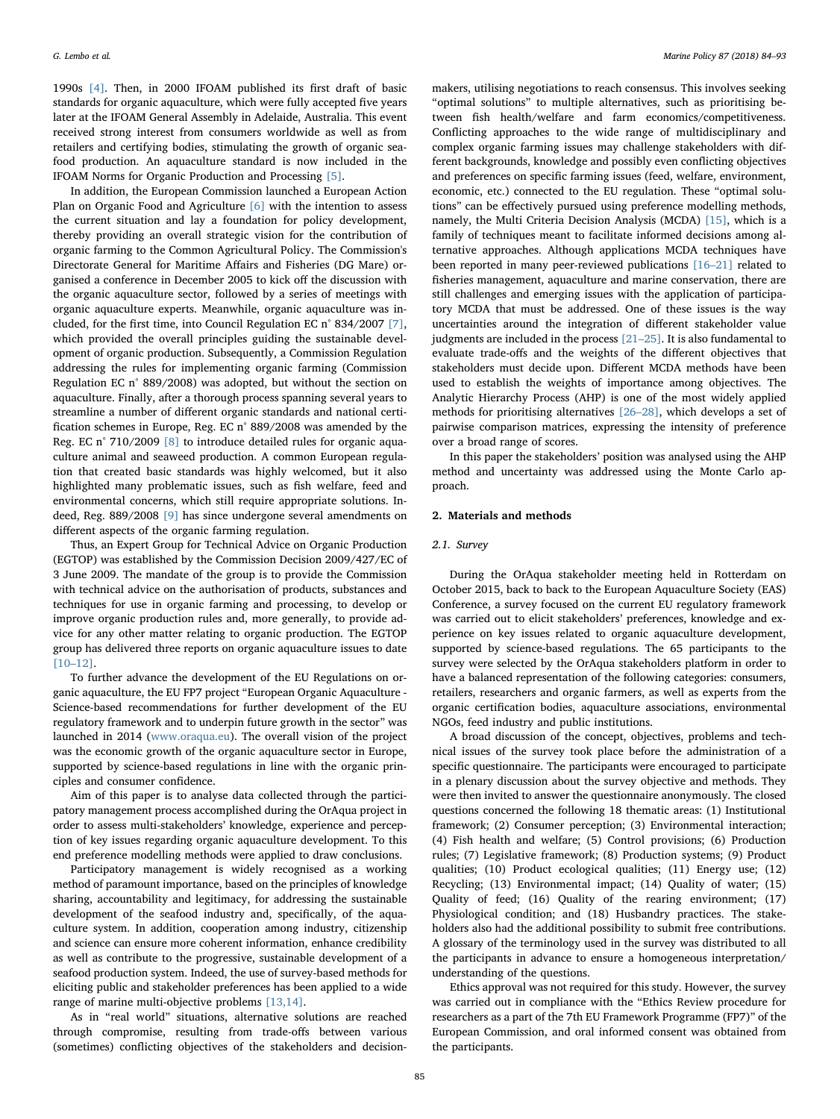1990s [\[4\]](#page-9-3). Then, in 2000 IFOAM published its first draft of basic standards for organic aquaculture, which were fully accepted five years later at the IFOAM General Assembly in Adelaide, Australia. This event received strong interest from consumers worldwide as well as from retailers and certifying bodies, stimulating the growth of organic seafood production. An aquaculture standard is now included in the IFOAM Norms for Organic Production and Processing [\[5\].](#page-9-4)

In addition, the European Commission launched a European Action Plan on Organic Food and Agriculture [\[6\]](#page-9-5) with the intention to assess the current situation and lay a foundation for policy development, thereby providing an overall strategic vision for the contribution of organic farming to the Common Agricultural Policy. The Commission's Directorate General for Maritime Affairs and Fisheries (DG Mare) organised a conference in December 2005 to kick off the discussion with the organic aquaculture sector, followed by a series of meetings with organic aquaculture experts. Meanwhile, organic aquaculture was included, for the first time, into Council Regulation EC n° 834/2007 [\[7\]](#page-9-6), which provided the overall principles guiding the sustainable development of organic production. Subsequently, a Commission Regulation addressing the rules for implementing organic farming (Commission Regulation EC n° 889/2008) was adopted, but without the section on aquaculture. Finally, after a thorough process spanning several years to streamline a number of different organic standards and national certification schemes in Europe, Reg. EC n° 889/2008 was amended by the Reg. EC n° 710/2009 [\[8\]](#page-9-7) to introduce detailed rules for organic aquaculture animal and seaweed production. A common European regulation that created basic standards was highly welcomed, but it also highlighted many problematic issues, such as fish welfare, feed and environmental concerns, which still require appropriate solutions. Indeed, Reg. 889/2008 [\[9\]](#page-9-8) has since undergone several amendments on different aspects of the organic farming regulation.

Thus, an Expert Group for Technical Advice on Organic Production (EGTOP) was established by the Commission Decision 2009/427/EC of 3 June 2009. The mandate of the group is to provide the Commission with technical advice on the authorisation of products, substances and techniques for use in organic farming and processing, to develop or improve organic production rules and, more generally, to provide advice for any other matter relating to organic production. The EGTOP group has delivered three reports on organic aquaculture issues to date [10–[12\]](#page-9-9).

To further advance the development of the EU Regulations on organic aquaculture, the EU FP7 project "European Organic Aquaculture - Science-based recommendations for further development of the EU regulatory framework and to underpin future growth in the sector" was launched in 2014 [\(www.oraqua.eu](http://www.oraqua.eu)). The overall vision of the project was the economic growth of the organic aquaculture sector in Europe, supported by science-based regulations in line with the organic principles and consumer confidence.

Aim of this paper is to analyse data collected through the participatory management process accomplished during the OrAqua project in order to assess multi-stakeholders' knowledge, experience and perception of key issues regarding organic aquaculture development. To this end preference modelling methods were applied to draw conclusions.

Participatory management is widely recognised as a working method of paramount importance, based on the principles of knowledge sharing, accountability and legitimacy, for addressing the sustainable development of the seafood industry and, specifically, of the aquaculture system. In addition, cooperation among industry, citizenship and science can ensure more coherent information, enhance credibility as well as contribute to the progressive, sustainable development of a seafood production system. Indeed, the use of survey-based methods for eliciting public and stakeholder preferences has been applied to a wide range of marine multi-objective problems [\[13,14\]](#page-9-10).

As in "real world" situations, alternative solutions are reached through compromise, resulting from trade-offs between various (sometimes) conflicting objectives of the stakeholders and decision-

makers, utilising negotiations to reach consensus. This involves seeking "optimal solutions" to multiple alternatives, such as prioritising between fish health/welfare and farm economics/competitiveness. Conflicting approaches to the wide range of multidisciplinary and complex organic farming issues may challenge stakeholders with different backgrounds, knowledge and possibly even conflicting objectives and preferences on specific farming issues (feed, welfare, environment, economic, etc.) connected to the EU regulation. These "optimal solutions" can be effectively pursued using preference modelling methods, namely, the Multi Criteria Decision Analysis (MCDA) [\[15\],](#page-9-11) which is a family of techniques meant to facilitate informed decisions among alternative approaches. Although applications MCDA techniques have been reported in many peer-reviewed publications [\[16](#page-9-12)–21] related to fisheries management, aquaculture and marine conservation, there are still challenges and emerging issues with the application of participatory MCDA that must be addressed. One of these issues is the way uncertainties around the integration of different stakeholder value judgments are included in the process  $[21–25]$  $[21–25]$ . It is also fundamental to evaluate trade-offs and the weights of the different objectives that stakeholders must decide upon. Different MCDA methods have been used to establish the weights of importance among objectives. The Analytic Hierarchy Process (AHP) is one of the most widely applied methods for prioritising alternatives [26–[28\],](#page-9-14) which develops a set of pairwise comparison matrices, expressing the intensity of preference over a broad range of scores.

In this paper the stakeholders' position was analysed using the AHP method and uncertainty was addressed using the Monte Carlo approach.

#### 2. Materials and methods

#### 2.1. Survey

During the OrAqua stakeholder meeting held in Rotterdam on October 2015, back to back to the European Aquaculture Society (EAS) Conference, a survey focused on the current EU regulatory framework was carried out to elicit stakeholders' preferences, knowledge and experience on key issues related to organic aquaculture development, supported by science-based regulations. The 65 participants to the survey were selected by the OrAqua stakeholders platform in order to have a balanced representation of the following categories: consumers, retailers, researchers and organic farmers, as well as experts from the organic certification bodies, aquaculture associations, environmental NGOs, feed industry and public institutions.

A broad discussion of the concept, objectives, problems and technical issues of the survey took place before the administration of a specific questionnaire. The participants were encouraged to participate in a plenary discussion about the survey objective and methods. They were then invited to answer the questionnaire anonymously. The closed questions concerned the following 18 thematic areas: (1) Institutional framework; (2) Consumer perception; (3) Environmental interaction; (4) Fish health and welfare; (5) Control provisions; (6) Production rules; (7) Legislative framework; (8) Production systems; (9) Product qualities; (10) Product ecological qualities; (11) Energy use; (12) Recycling; (13) Environmental impact; (14) Quality of water; (15) Quality of feed; (16) Quality of the rearing environment; (17) Physiological condition; and (18) Husbandry practices. The stakeholders also had the additional possibility to submit free contributions. A glossary of the terminology used in the survey was distributed to all the participants in advance to ensure a homogeneous interpretation/ understanding of the questions.

Ethics approval was not required for this study. However, the survey was carried out in compliance with the "Ethics Review procedure for researchers as a part of the 7th EU Framework Programme (FP7)" of the European Commission, and oral informed consent was obtained from the participants.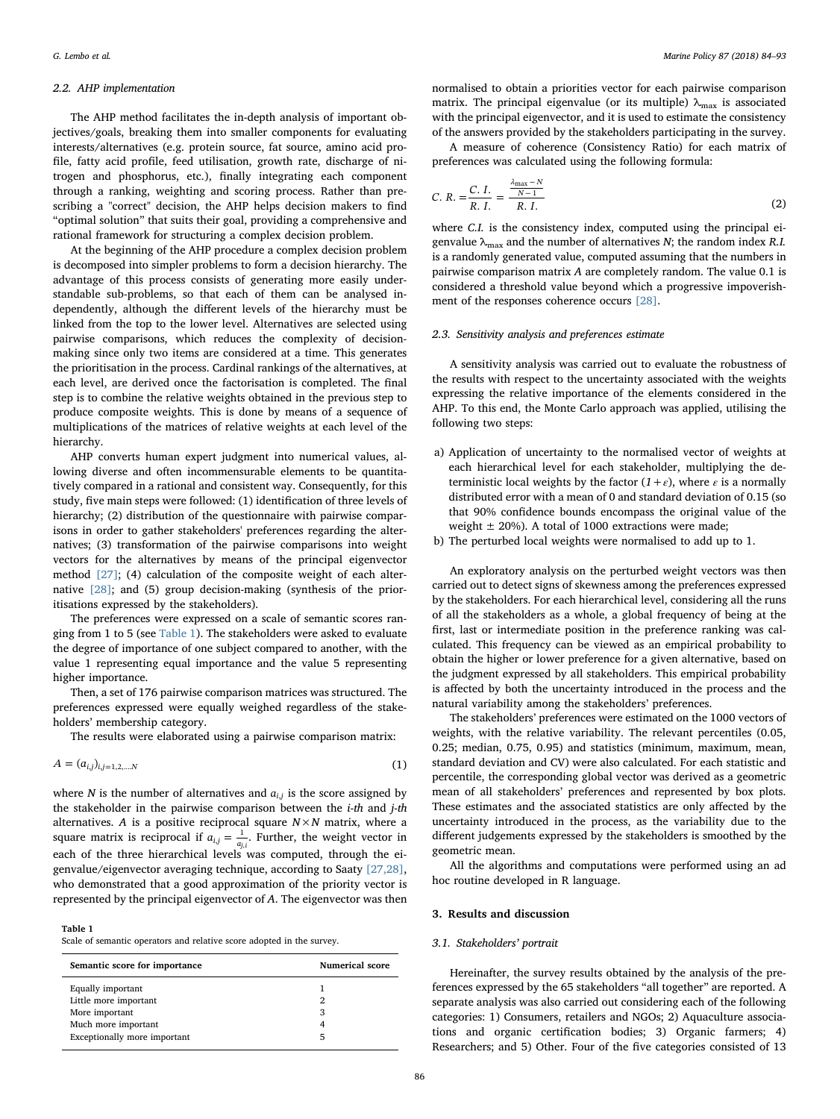#### 2.2. AHP implementation

The AHP method facilitates the in-depth analysis of important objectives/goals, breaking them into smaller components for evaluating interests/alternatives (e.g. protein source, fat source, amino acid profile, fatty acid profile, feed utilisation, growth rate, discharge of nitrogen and phosphorus, etc.), finally integrating each component through a ranking, weighting and scoring process. Rather than prescribing a "correct" decision, the AHP helps decision makers to find "optimal solution" that suits their goal, providing a comprehensive and rational framework for structuring a complex decision problem.

At the beginning of the AHP procedure a complex decision problem is decomposed into simpler problems to form a decision hierarchy. The advantage of this process consists of generating more easily understandable sub-problems, so that each of them can be analysed independently, although the different levels of the hierarchy must be linked from the top to the lower level. Alternatives are selected using pairwise comparisons, which reduces the complexity of decisionmaking since only two items are considered at a time. This generates the prioritisation in the process. Cardinal rankings of the alternatives, at each level, are derived once the factorisation is completed. The final step is to combine the relative weights obtained in the previous step to produce composite weights. This is done by means of a sequence of multiplications of the matrices of relative weights at each level of the hierarchy.

AHP converts human expert judgment into numerical values, allowing diverse and often incommensurable elements to be quantitatively compared in a rational and consistent way. Consequently, for this study, five main steps were followed: (1) identification of three levels of hierarchy; (2) distribution of the questionnaire with pairwise comparisons in order to gather stakeholders' preferences regarding the alternatives; (3) transformation of the pairwise comparisons into weight vectors for the alternatives by means of the principal eigenvector method [\[27\];](#page-9-15) (4) calculation of the composite weight of each alternative [\[28\]](#page-9-16); and (5) group decision-making (synthesis of the prioritisations expressed by the stakeholders).

The preferences were expressed on a scale of semantic scores ranging from 1 to 5 (see [Table 1](#page-3-0)). The stakeholders were asked to evaluate the degree of importance of one subject compared to another, with the value 1 representing equal importance and the value 5 representing higher importance.

Then, a set of 176 pairwise comparison matrices was structured. The preferences expressed were equally weighed regardless of the stakeholders' membership category.

The results were elaborated using a pairwise comparison matrix:

$$
A = (a_{i,j})_{i,j=1,2,...N}
$$
 (1)

where N is the number of alternatives and  $a_{i,j}$  is the score assigned by the stakeholder in the pairwise comparison between the i-th and j-th alternatives. A is a positive reciprocal square  $N \times N$  matrix, where a square matrix is reciprocal if  $a_{i,j} = \frac{1}{q_{j,i}}$ . Further, the weight vector in each of the three hierarchical levels was computed, through the eigenvalue/eigenvector averaging technique, according to Saaty [\[27,28\]](#page-9-15), who demonstrated that a good approximation of the priority vector is represented by the principal eigenvector of A. The eigenvector was then

<span id="page-3-0"></span>Table 1

Scale of semantic operators and relative score adopted in the survey.

| Semantic score for importance | Numerical score |
|-------------------------------|-----------------|
| Equally important             |                 |
| Little more important         | 2               |
| More important                | 3               |
| Much more important           | 4               |
| Exceptionally more important  | 5               |

normalised to obtain a priorities vector for each pairwise comparison matrix. The principal eigenvalue (or its multiple)  $\lambda_{\text{max}}$  is associated with the principal eigenvector, and it is used to estimate the consistency of the answers provided by the stakeholders participating in the survey.

A measure of coherence (Consistency Ratio) for each matrix of preferences was calculated using the following formula:

$$
C. R. = \frac{C. I.}{R. I.} = \frac{\frac{\lambda_{\text{max}} - N}{N - 1}}{R. I.}
$$
 (2)

where *C.I.* is the consistency index, computed using the principal eigenvalue  $\lambda_{\text{max}}$  and the number of alternatives N; the random index R.I. is a randomly generated value, computed assuming that the numbers in pairwise comparison matrix A are completely random. The value 0.1 is considered a threshold value beyond which a progressive impoverishment of the responses coherence occurs [\[28\]](#page-9-16).

#### 2.3. Sensitivity analysis and preferences estimate

A sensitivity analysis was carried out to evaluate the robustness of the results with respect to the uncertainty associated with the weights expressing the relative importance of the elements considered in the AHP. To this end, the Monte Carlo approach was applied, utilising the following two steps:

- a) Application of uncertainty to the normalised vector of weights at each hierarchical level for each stakeholder, multiplying the deterministic local weights by the factor  $(1+\varepsilon)$ , where  $\varepsilon$  is a normally distributed error with a mean of 0 and standard deviation of 0.15 (so that 90% confidence bounds encompass the original value of the weight  $\pm$  20%). A total of 1000 extractions were made;
- b) The perturbed local weights were normalised to add up to 1.

An exploratory analysis on the perturbed weight vectors was then carried out to detect signs of skewness among the preferences expressed by the stakeholders. For each hierarchical level, considering all the runs of all the stakeholders as a whole, a global frequency of being at the first, last or intermediate position in the preference ranking was calculated. This frequency can be viewed as an empirical probability to obtain the higher or lower preference for a given alternative, based on the judgment expressed by all stakeholders. This empirical probability is affected by both the uncertainty introduced in the process and the natural variability among the stakeholders' preferences.

The stakeholders' preferences were estimated on the 1000 vectors of weights, with the relative variability. The relevant percentiles (0.05, 0.25; median, 0.75, 0.95) and statistics (minimum, maximum, mean, standard deviation and CV) were also calculated. For each statistic and percentile, the corresponding global vector was derived as a geometric mean of all stakeholders' preferences and represented by box plots. These estimates and the associated statistics are only affected by the uncertainty introduced in the process, as the variability due to the different judgements expressed by the stakeholders is smoothed by the geometric mean.

All the algorithms and computations were performed using an ad hoc routine developed in R language.

#### 3. Results and discussion

#### 3.1. Stakeholders' portrait

Hereinafter, the survey results obtained by the analysis of the preferences expressed by the 65 stakeholders "all together" are reported. A separate analysis was also carried out considering each of the following categories: 1) Consumers, retailers and NGOs; 2) Aquaculture associations and organic certification bodies; 3) Organic farmers; 4) Researchers; and 5) Other. Four of the five categories consisted of 13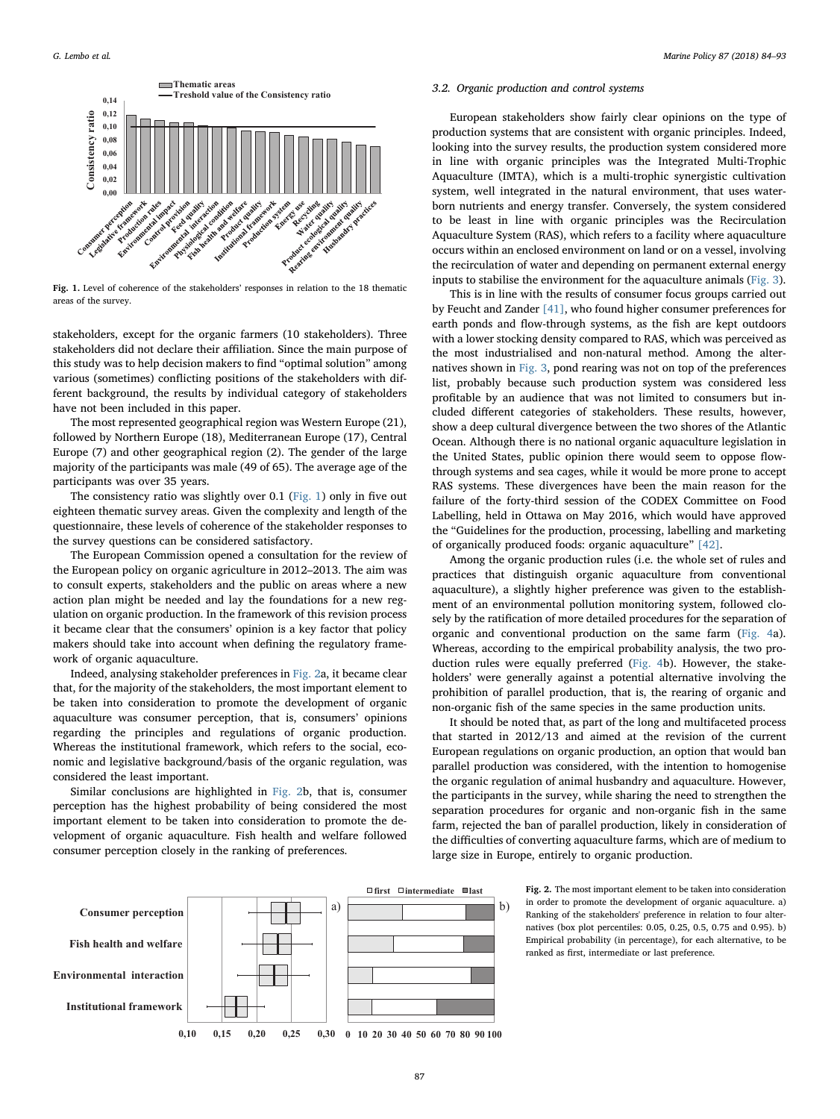<span id="page-4-0"></span>

Fig. 1. Level of coherence of the stakeholders' responses in relation to the 18 thematic areas of the survey.

stakeholders, except for the organic farmers (10 stakeholders). Three stakeholders did not declare their affiliation. Since the main purpose of this study was to help decision makers to find "optimal solution" among various (sometimes) conflicting positions of the stakeholders with different background, the results by individual category of stakeholders have not been included in this paper.

The most represented geographical region was Western Europe (21), followed by Northern Europe (18), Mediterranean Europe (17), Central Europe (7) and other geographical region (2). The gender of the large majority of the participants was male (49 of 65). The average age of the participants was over 35 years.

The consistency ratio was slightly over 0.1 ([Fig. 1](#page-4-0)) only in five out eighteen thematic survey areas. Given the complexity and length of the questionnaire, these levels of coherence of the stakeholder responses to the survey questions can be considered satisfactory.

The European Commission opened a consultation for the review of the European policy on organic agriculture in 2012–2013. The aim was to consult experts, stakeholders and the public on areas where a new action plan might be needed and lay the foundations for a new regulation on organic production. In the framework of this revision process it became clear that the consumers' opinion is a key factor that policy makers should take into account when defining the regulatory framework of organic aquaculture.

Indeed, analysing stakeholder preferences in [Fig. 2](#page-4-1)a, it became clear that, for the majority of the stakeholders, the most important element to be taken into consideration to promote the development of organic aquaculture was consumer perception, that is, consumers' opinions regarding the principles and regulations of organic production. Whereas the institutional framework, which refers to the social, economic and legislative background/basis of the organic regulation, was considered the least important.

Similar conclusions are highlighted in [Fig. 2b](#page-4-1), that is, consumer perception has the highest probability of being considered the most important element to be taken into consideration to promote the development of organic aquaculture. Fish health and welfare followed consumer perception closely in the ranking of preferences.

#### 3.2. Organic production and control systems

European stakeholders show fairly clear opinions on the type of production systems that are consistent with organic principles. Indeed, looking into the survey results, the production system considered more in line with organic principles was the Integrated Multi-Trophic Aquaculture (IMTA), which is a multi-trophic synergistic cultivation system, well integrated in the natural environment, that uses waterborn nutrients and energy transfer. Conversely, the system considered to be least in line with organic principles was the Recirculation Aquaculture System (RAS), which refers to a facility where aquaculture occurs within an enclosed environment on land or on a vessel, involving the recirculation of water and depending on permanent external energy inputs to stabilise the environment for the aquaculture animals ([Fig. 3](#page-5-0)).

This is in line with the results of consumer focus groups carried out by Feucht and Zander [\[41\]](#page-9-17), who found higher consumer preferences for earth ponds and flow-through systems, as the fish are kept outdoors with a lower stocking density compared to RAS, which was perceived as the most industrialised and non-natural method. Among the alternatives shown in [Fig. 3](#page-5-0), pond rearing was not on top of the preferences list, probably because such production system was considered less profitable by an audience that was not limited to consumers but included different categories of stakeholders. These results, however, show a deep cultural divergence between the two shores of the Atlantic Ocean. Although there is no national organic aquaculture legislation in the United States, public opinion there would seem to oppose flowthrough systems and sea cages, while it would be more prone to accept RAS systems. These divergences have been the main reason for the failure of the forty-third session of the CODEX Committee on Food Labelling, held in Ottawa on May 2016, which would have approved the "Guidelines for the production, processing, labelling and marketing of organically produced foods: organic aquaculture" [\[42\].](#page-9-18)

Among the organic production rules (i.e. the whole set of rules and practices that distinguish organic aquaculture from conventional aquaculture), a slightly higher preference was given to the establishment of an environmental pollution monitoring system, followed closely by the ratification of more detailed procedures for the separation of organic and conventional production on the same farm ([Fig. 4](#page-5-1)a). Whereas, according to the empirical probability analysis, the two production rules were equally preferred ([Fig. 4](#page-5-1)b). However, the stakeholders' were generally against a potential alternative involving the prohibition of parallel production, that is, the rearing of organic and non-organic fish of the same species in the same production units.

It should be noted that, as part of the long and multifaceted process that started in 2012/13 and aimed at the revision of the current European regulations on organic production, an option that would ban parallel production was considered, with the intention to homogenise the organic regulation of animal husbandry and aquaculture. However, the participants in the survey, while sharing the need to strengthen the separation procedures for organic and non-organic fish in the same farm, rejected the ban of parallel production, likely in consideration of the difficulties of converting aquaculture farms, which are of medium to large size in Europe, entirely to organic production.

<span id="page-4-1"></span>

Fig. 2. The most important element to be taken into consideration in order to promote the development of organic aquaculture. a) Ranking of the stakeholders' preference in relation to four alternatives (box plot percentiles: 0.05, 0.25, 0.5, 0.75 and 0.95). b) Empirical probability (in percentage), for each alternative, to be ranked as first, intermediate or last preference.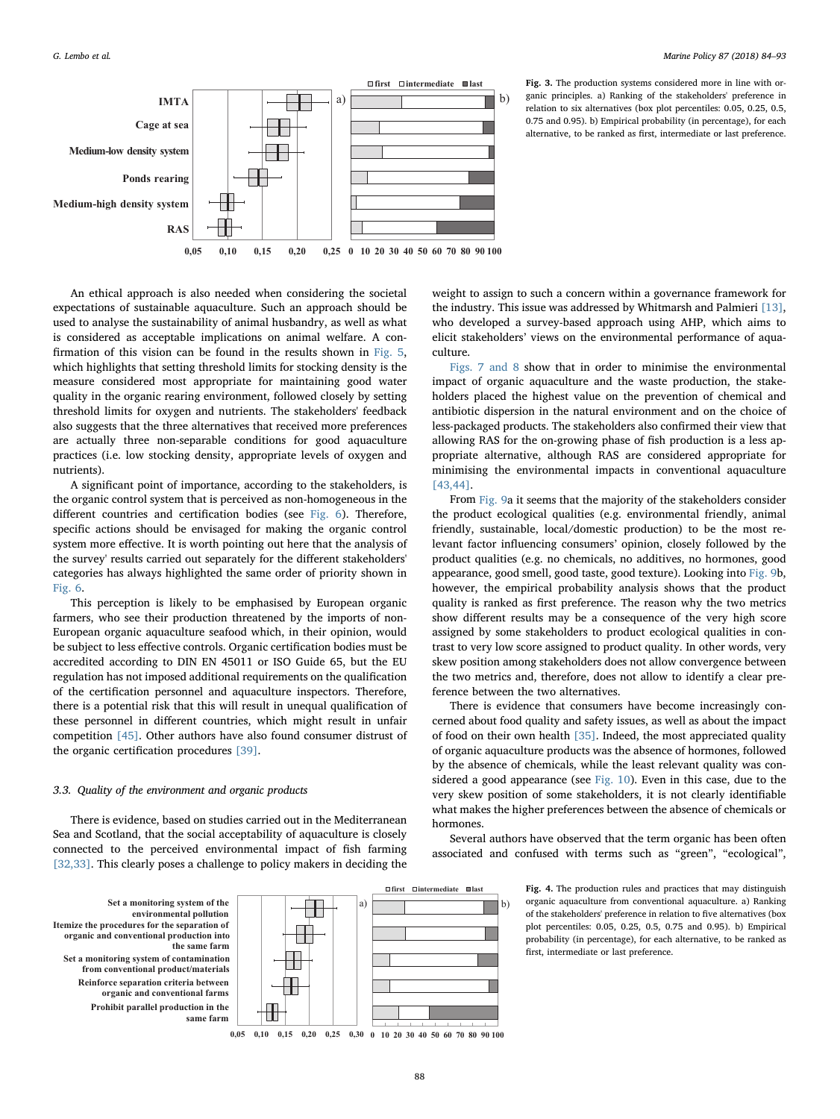<span id="page-5-0"></span>

Fig. 3. The production systems considered more in line with organic principles. a) Ranking of the stakeholders' preference in relation to six alternatives (box plot percentiles: 0.05, 0.25, 0.5, 0.75 and 0.95). b) Empirical probability (in percentage), for each alternative, to be ranked as first, intermediate or last preference.

An ethical approach is also needed when considering the societal expectations of sustainable aquaculture. Such an approach should be used to analyse the sustainability of animal husbandry, as well as what is considered as acceptable implications on animal welfare. A confirmation of this vision can be found in the results shown in [Fig. 5](#page-6-0), which highlights that setting threshold limits for stocking density is the measure considered most appropriate for maintaining good water quality in the organic rearing environment, followed closely by setting threshold limits for oxygen and nutrients. The stakeholders' feedback also suggests that the three alternatives that received more preferences are actually three non-separable conditions for good aquaculture practices (i.e. low stocking density, appropriate levels of oxygen and nutrients).

A significant point of importance, according to the stakeholders, is the organic control system that is perceived as non-homogeneous in the different countries and certification bodies (see [Fig. 6](#page-6-1)). Therefore, specific actions should be envisaged for making the organic control system more effective. It is worth pointing out here that the analysis of the survey' results carried out separately for the different stakeholders' categories has always highlighted the same order of priority shown in [Fig. 6.](#page-6-1)

This perception is likely to be emphasised by European organic farmers, who see their production threatened by the imports of non-European organic aquaculture seafood which, in their opinion, would be subject to less effective controls. Organic certification bodies must be accredited according to DIN EN 45011 or ISO Guide 65, but the EU regulation has not imposed additional requirements on the qualification of the certification personnel and aquaculture inspectors. Therefore, there is a potential risk that this will result in unequal qualification of these personnel in different countries, which might result in unfair competition [\[45\]](#page-9-19). Other authors have also found consumer distrust of the organic certification procedures [\[39\].](#page-9-20)

#### 3.3. Quality of the environment and organic products

There is evidence, based on studies carried out in the Mediterranean Sea and Scotland, that the social acceptability of aquaculture is closely connected to the perceived environmental impact of fish farming [\[32,33\].](#page-9-21) This clearly poses a challenge to policy makers in deciding the

<span id="page-5-1"></span>**environmental pollution Itemize the procedures for the separation of organic and conventional production into the same farm Set a monitoring system of contamination from conventional product/materials Reinforce separation criteria between organic and conventional farms Prohibit parallel production in the same farm**



weight to assign to such a concern within a governance framework for the industry. This issue was addressed by Whitmarsh and Palmieri [\[13\]](#page-9-10), who developed a survey-based approach using AHP, which aims to elicit stakeholders' views on the environmental performance of aquaculture.

[Figs. 7 and 8](#page-7-0) show that in order to minimise the environmental impact of organic aquaculture and the waste production, the stakeholders placed the highest value on the prevention of chemical and antibiotic dispersion in the natural environment and on the choice of less-packaged products. The stakeholders also confirmed their view that allowing RAS for the on-growing phase of fish production is a less appropriate alternative, although RAS are considered appropriate for minimising the environmental impacts in conventional aquaculture [\[43,44\].](#page-9-22)

From [Fig. 9a](#page-7-1) it seems that the majority of the stakeholders consider the product ecological qualities (e.g. environmental friendly, animal friendly, sustainable, local/domestic production) to be the most relevant factor influencing consumers' opinion, closely followed by the product qualities (e.g. no chemicals, no additives, no hormones, good appearance, good smell, good taste, good texture). Looking into [Fig. 9b](#page-7-1), however, the empirical probability analysis shows that the product quality is ranked as first preference. The reason why the two metrics show different results may be a consequence of the very high score assigned by some stakeholders to product ecological qualities in contrast to very low score assigned to product quality. In other words, very skew position among stakeholders does not allow convergence between the two metrics and, therefore, does not allow to identify a clear preference between the two alternatives.

There is evidence that consumers have become increasingly concerned about food quality and safety issues, as well as about the impact of food on their own health [\[35\].](#page-9-23) Indeed, the most appreciated quality of organic aquaculture products was the absence of hormones, followed by the absence of chemicals, while the least relevant quality was considered a good appearance (see [Fig. 10](#page-7-2)). Even in this case, due to the very skew position of some stakeholders, it is not clearly identifiable what makes the higher preferences between the absence of chemicals or hormones.

Several authors have observed that the term organic has been often associated and confused with terms such as "green", "ecological",

> Fig. 4. The production rules and practices that may distinguish organic aquaculture from conventional aquaculture. a) Ranking of the stakeholders' preference in relation to five alternatives (box plot percentiles: 0.05, 0.25, 0.5, 0.75 and 0.95). b) Empirical probability (in percentage), for each alternative, to be ranked as first, intermediate or last preference.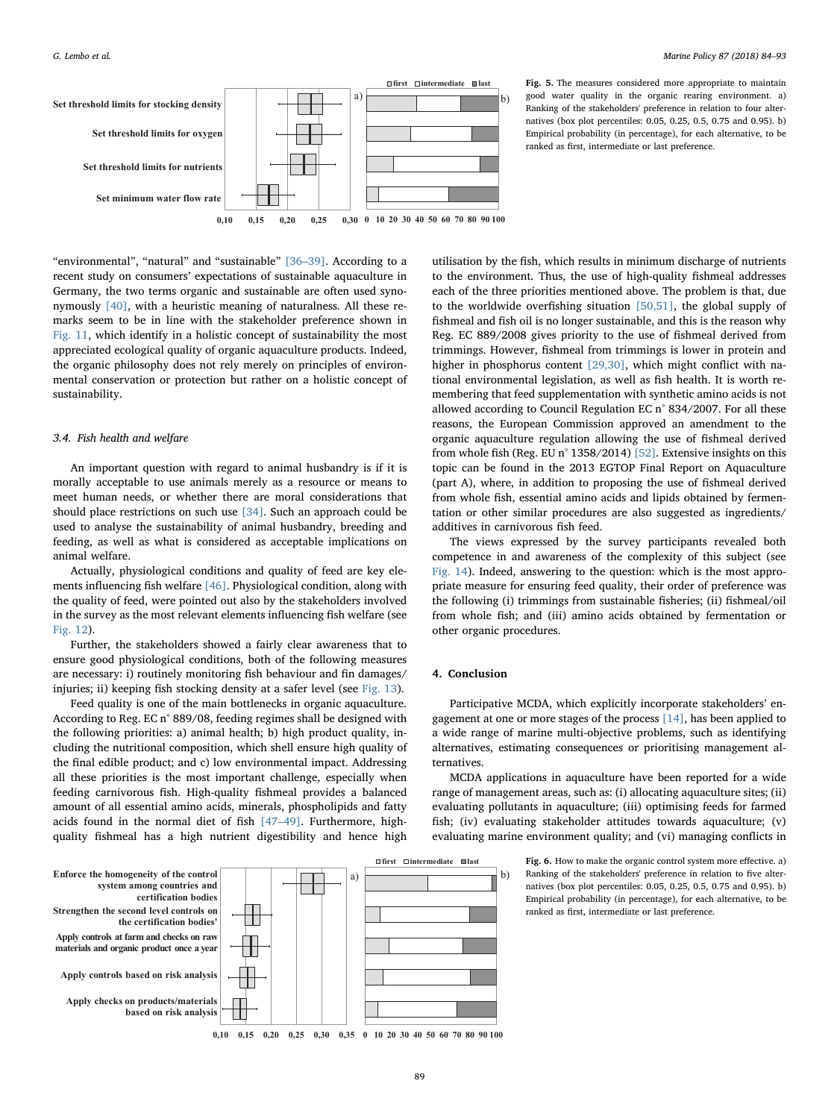<span id="page-6-0"></span>

"environmental", "natural" and "sustainable" [36–[39\].](#page-9-24) According to a recent study on consumers' expectations of sustainable aquaculture in Germany, the two terms organic and sustainable are often used synonymously [\[40\],](#page-9-25) with a heuristic meaning of naturalness. All these remarks seem to be in line with the stakeholder preference shown in [Fig. 11,](#page-7-3) which identify in a holistic concept of sustainability the most appreciated ecological quality of organic aquaculture products. Indeed, the organic philosophy does not rely merely on principles of environmental conservation or protection but rather on a holistic concept of sustainability.

#### 3.4. Fish health and welfare

An important question with regard to animal husbandry is if it is morally acceptable to use animals merely as a resource or means to meet human needs, or whether there are moral considerations that should place restrictions on such use [\[34\]](#page-9-26). Such an approach could be used to analyse the sustainability of animal husbandry, breeding and feeding, as well as what is considered as acceptable implications on animal welfare.

Actually, physiological conditions and quality of feed are key elements influencing fish welfare [\[46\].](#page-9-27) Physiological condition, along with the quality of feed, were pointed out also by the stakeholders involved in the survey as the most relevant elements influencing fish welfare (see [Fig. 12](#page-8-0)).

Further, the stakeholders showed a fairly clear awareness that to ensure good physiological conditions, both of the following measures are necessary: i) routinely monitoring fish behaviour and fin damages/ injuries; ii) keeping fish stocking density at a safer level (see [Fig. 13\)](#page-8-1).

Feed quality is one of the main bottlenecks in organic aquaculture. According to Reg. EC n° 889/08, feeding regimes shall be designed with the following priorities: a) animal health; b) high product quality, including the nutritional composition, which shell ensure high quality of the final edible product; and c) low environmental impact. Addressing all these priorities is the most important challenge, especially when feeding carnivorous fish. High-quality fishmeal provides a balanced amount of all essential amino acids, minerals, phospholipids and fatty acids found in the normal diet of fish [\[47](#page-9-28)–49]. Furthermore, highquality fishmeal has a high nutrient digestibility and hence high

<span id="page-6-1"></span>

Fig. 5. The measures considered more appropriate to maintain good water quality in the organic rearing environment. a) Ranking of the stakeholders' preference in relation to four alternatives (box plot percentiles: 0.05, 0.25, 0.5, 0.75 and 0.95). b) Empirical probability (in percentage), for each alternative, to be ranked as first, intermediate or last preference.

utilisation by the fish, which results in minimum discharge of nutrients to the environment. Thus, the use of high-quality fishmeal addresses each of the three priorities mentioned above. The problem is that, due to the worldwide overfishing situation [\[50,51\],](#page-9-29) the global supply of fishmeal and fish oil is no longer sustainable, and this is the reason why Reg. EC 889/2008 gives priority to the use of fishmeal derived from trimmings. However, fishmeal from trimmings is lower in protein and higher in phosphorus content [\[29,30\]](#page-9-30), which might conflict with national environmental legislation, as well as fish health. It is worth remembering that feed supplementation with synthetic amino acids is not allowed according to Council Regulation EC n° 834/2007. For all these reasons, the European Commission approved an amendment to the organic aquaculture regulation allowing the use of fishmeal derived from whole fish (Reg. EU n° 1358/2014) [\[52\]](#page-10-0). Extensive insights on this topic can be found in the 2013 EGTOP Final Report on Aquaculture (part A), where, in addition to proposing the use of fishmeal derived from whole fish, essential amino acids and lipids obtained by fermentation or other similar procedures are also suggested as ingredients/ additives in carnivorous fish feed.

The views expressed by the survey participants revealed both competence in and awareness of the complexity of this subject (see [Fig. 14\)](#page-8-2). Indeed, answering to the question: which is the most appropriate measure for ensuring feed quality, their order of preference was the following (i) trimmings from sustainable fisheries; (ii) fishmeal/oil from whole fish; and (iii) amino acids obtained by fermentation or other organic procedures.

#### 4. Conclusion

Participative MCDA, which explicitly incorporate stakeholders' engagement at one or more stages of the process [\[14\]](#page-9-31), has been applied to a wide range of marine multi-objective problems, such as identifying alternatives, estimating consequences or prioritising management alternatives.

MCDA applications in aquaculture have been reported for a wide range of management areas, such as: (i) allocating aquaculture sites; (ii) evaluating pollutants in aquaculture; (iii) optimising feeds for farmed fish; (iv) evaluating stakeholder attitudes towards aquaculture; (v) evaluating marine environment quality; and (vi) managing conflicts in

> Fig. 6. How to make the organic control system more effective. a) Ranking of the stakeholders' preference in relation to five alternatives (box plot percentiles: 0.05, 0.25, 0.5, 0.75 and 0.95). b) Empirical probability (in percentage), for each alternative, to be ranked as first, intermediate or last preference.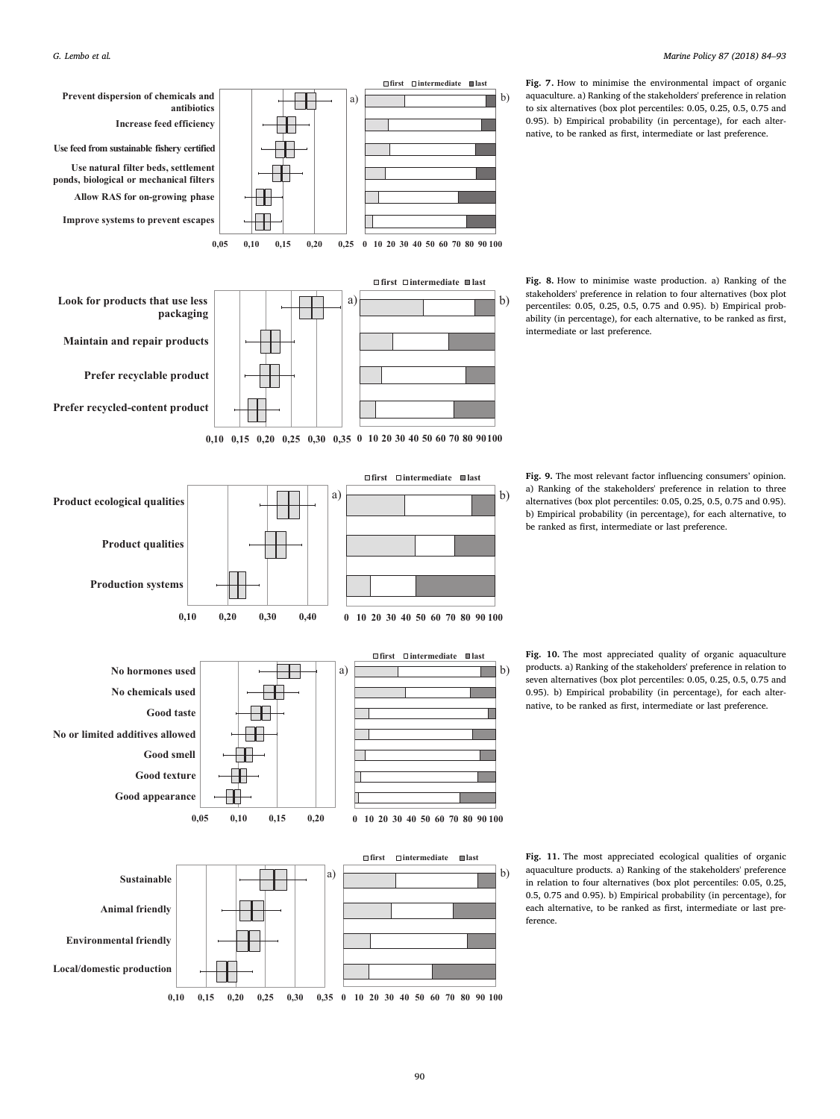<span id="page-7-1"></span><span id="page-7-0"></span>

Fig. 7. How to minimise the environmental impact of organic aquaculture. a) Ranking of the stakeholders' preference in relation to six alternatives (box plot percentiles: 0.05, 0.25, 0.5, 0.75 and 0.95). b) Empirical probability (in percentage), for each alternative, to be ranked as first, intermediate or last preference.

Fig. 8. How to minimise waste production. a) Ranking of the stakeholders' preference in relation to four alternatives (box plot percentiles: 0.05, 0.25, 0.5, 0.75 and 0.95). b) Empirical probability (in percentage), for each alternative, to be ranked as first, intermediate or last preference.

Fig. 9. The most relevant factor influencing consumers' opinion. a) Ranking of the stakeholders' preference in relation to three alternatives (box plot percentiles: 0.05, 0.25, 0.5, 0.75 and 0.95). b) Empirical probability (in percentage), for each alternative, to be ranked as first, intermediate or last preference.

Fig. 10. The most appreciated quality of organic aquaculture products. a) Ranking of the stakeholders' preference in relation to seven alternatives (box plot percentiles: 0.05, 0.25, 0.5, 0.75 and 0.95). b) Empirical probability (in percentage), for each alternative, to be ranked as first, intermediate or last preference.

Fig. 11. The most appreciated ecological qualities of organic aquaculture products. a) Ranking of the stakeholders' preference in relation to four alternatives (box plot percentiles: 0.05, 0.25, 0.5, 0.75 and 0.95). b) Empirical probability (in percentage), for each alternative, to be ranked as first, intermediate or last preference.

<span id="page-7-3"></span><span id="page-7-2"></span>0,10 0,15 0,20 0,25 0,30 0,35 0 10 20 30 40 50 60 70 80 90 100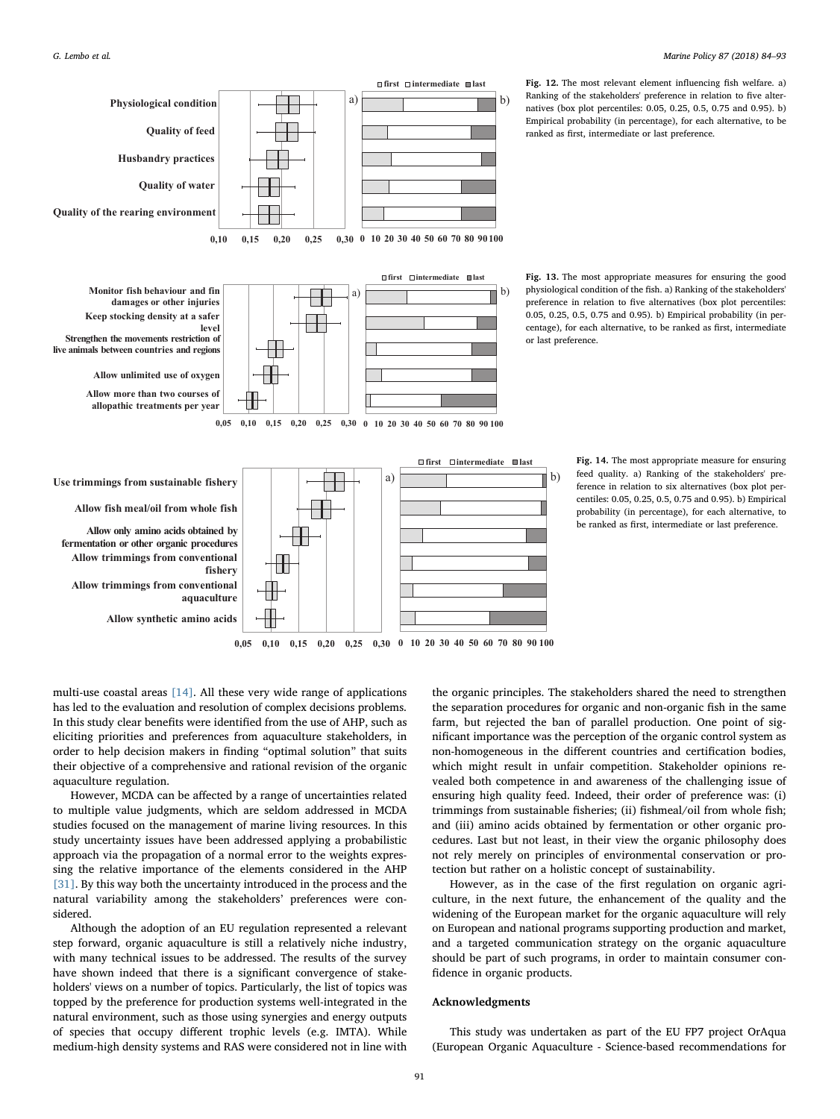<span id="page-8-1"></span><span id="page-8-0"></span>

Fig. 13. The most appropriate measures for ensuring the good physiological condition of the fish. a) Ranking of the stakeholders' preference in relation to five alternatives (box plot percentiles: 0.05, 0.25, 0.5, 0.75 and 0.95). b) Empirical probability (in percentage), for each alternative, to be ranked as first, intermediate or last preference.

> Fig. 14. The most appropriate measure for ensuring feed quality. a) Ranking of the stakeholders' preference in relation to six alternatives (box plot percentiles: 0.05, 0.25, 0.5, 0.75 and 0.95). b) Empirical probability (in percentage), for each alternative, to be ranked as first, intermediate or last preference.

<span id="page-8-2"></span>multi-use coastal areas  $[14]$ . All these very wide range of applications has led to the evaluation and resolution of complex decisions problems. In this study clear benefits were identified from the use of AHP, such as eliciting priorities and preferences from aquaculture stakeholders, in order to help decision makers in finding "optimal solution" that suits their objective of a comprehensive and rational revision of the organic aquaculture regulation.

However, MCDA can be affected by a range of uncertainties related to multiple value judgments, which are seldom addressed in MCDA studies focused on the management of marine living resources. In this study uncertainty issues have been addressed applying a probabilistic approach via the propagation of a normal error to the weights expressing the relative importance of the elements considered in the AHP [\[31\]](#page-9-32). By this way both the uncertainty introduced in the process and the natural variability among the stakeholders' preferences were considered.

Although the adoption of an EU regulation represented a relevant step forward, organic aquaculture is still a relatively niche industry, with many technical issues to be addressed. The results of the survey have shown indeed that there is a significant convergence of stakeholders' views on a number of topics. Particularly, the list of topics was topped by the preference for production systems well-integrated in the natural environment, such as those using synergies and energy outputs of species that occupy different trophic levels (e.g. IMTA). While medium-high density systems and RAS were considered not in line with

the organic principles. The stakeholders shared the need to strengthen the separation procedures for organic and non-organic fish in the same farm, but rejected the ban of parallel production. One point of significant importance was the perception of the organic control system as non-homogeneous in the different countries and certification bodies, which might result in unfair competition. Stakeholder opinions revealed both competence in and awareness of the challenging issue of ensuring high quality feed. Indeed, their order of preference was: (i) trimmings from sustainable fisheries; (ii) fishmeal/oil from whole fish; and (iii) amino acids obtained by fermentation or other organic procedures. Last but not least, in their view the organic philosophy does not rely merely on principles of environmental conservation or protection but rather on a holistic concept of sustainability.

However, as in the case of the first regulation on organic agriculture, in the next future, the enhancement of the quality and the widening of the European market for the organic aquaculture will rely on European and national programs supporting production and market, and a targeted communication strategy on the organic aquaculture should be part of such programs, in order to maintain consumer confidence in organic products.

#### Acknowledgments

This study was undertaken as part of the EU FP7 project OrAqua (European Organic Aquaculture - Science-based recommendations for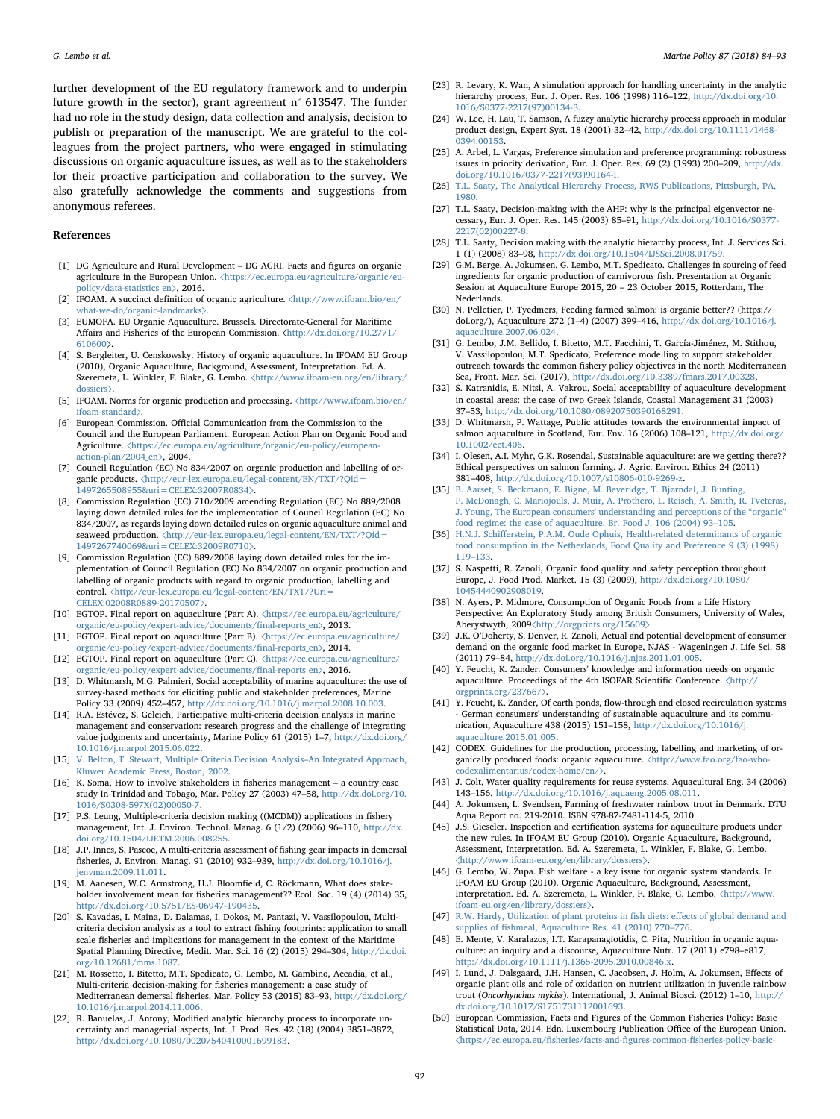further development of the EU regulatory framework and to underpin future growth in the sector), grant agreement n° 613547. The funder had no role in the study design, data collection and analysis, decision to publish or preparation of the manuscript. We are grateful to the colleagues from the project partners, who were engaged in stimulating discussions on organic aquaculture issues, as well as to the stakeholders for their proactive participation and collaboration to the survey. We also gratefully acknowledge the comments and suggestions from anonymous referees.

#### References

- <span id="page-9-0"></span>[1] DG Agriculture and Rural Development – DG AGRI. Facts and figures on organic agriculture in the European Union. 〈[https://ec.europa.eu/agriculture/organic/eu](https://ec.europa.eu/agriculture/organic/eu-policy/data-statistics_en)[policy/data-statistics\\_en](https://ec.europa.eu/agriculture/organic/eu-policy/data-statistics_en)〉, 2016.
- <span id="page-9-1"></span>[2] IFOAM. A succinct definition of organic agriculture. 〈[http://www.ifoam.bio/en/](http://www.ifoam.bio/en/what-we-do/organic-landmarks) [what-we-do/organic-landmarks](http://www.ifoam.bio/en/what-we-do/organic-landmarks)〉.
- <span id="page-9-2"></span>[3] EUMOFA. EU Organic Aquaculture. Brussels. Directorate-General for Maritime Affairs and Fisheries of the European Commission. 〈[http://dx.doi.org/10.2771/](http://dx.doi.org//10.2771/610600) [610600](http://dx.doi.org//10.2771/610600)〉.
- <span id="page-9-3"></span>[4] S. Bergleiter, U. Censkowsky. History of organic aquaculture. In IFOAM EU Group (2010), Organic Aquaculture, Background, Assessment, Interpretation. Ed. A. Szeremeta, L. Winkler, F. Blake, G. Lembo. 〈[http://www.ifoam-eu.org/en/library/](http://www.ifoam-eu.org/en/library/dossiers) [dossiers](http://www.ifoam-eu.org/en/library/dossiers)〉.
- <span id="page-9-4"></span>[5] IFOAM. Norms for organic production and processing. 〈[http://www.ifoam.bio/en/](http://www.ifoam.bio/en/ifoam-standard) [ifoam-standard](http://www.ifoam.bio/en/ifoam-standard)〉.
- <span id="page-9-5"></span>[6] European Commission. Official Communication from the Commission to the Council and the European Parliament. European Action Plan on Organic Food and Agriculture. 〈[https://ec.europa.eu/agriculture/organic/eu-policy/european](https://ec.europa.eu/agriculture/organic/eu-policy/european-action-plan/2004_en)ction-plan/2004  $en$ ), 2004.
- <span id="page-9-6"></span>[7] Council Regulation (EC) No 834/2007 on organic production and labelling of organic products. 〈[http://eur-lex.europa.eu/legal-content/EN/TXT/?Qid=](http://eur-lex.europa.eu/legal-content/EN/TXT/?Qid=1497265508955&uri=CELEX:32007R0834) [1497265508955&uri=CELEX:32007R0834](http://eur-lex.europa.eu/legal-content/EN/TXT/?Qid=1497265508955&uri=CELEX:32007R0834)〉.
- <span id="page-9-7"></span>[8] Commission Regulation (EC) 710/2009 amending Regulation (EC) No 889/2008 laying down detailed rules for the implementation of Council Regulation (EC) No 834/2007, as regards laying down detailed rules on organic aquaculture animal and seaweed production. <[http://eur-lex.europa.eu/legal-content/EN/TXT/?Qid=](http://eur-lex.europa.eu/legal-content/EN/TXT/?Qid=1497267740069&uri=CELEX:32009R0710) [1497267740069&uri=CELEX:32009R0710](http://eur-lex.europa.eu/legal-content/EN/TXT/?Qid=1497267740069&uri=CELEX:32009R0710)〉.
- <span id="page-9-8"></span>[9] Commission Regulation (EC) 889/2008 laying down detailed rules for the implementation of Council Regulation (EC) No 834/2007 on organic production and labelling of organic products with regard to organic production, labelling and control. 〈[http://eur-lex.europa.eu/legal-content/EN/TXT/?Uri=](http://eur-lex.europa.eu/legal-content/EN/TXT/?Uri=CELEX:02008R0889-20170507) [CELEX:02008R0889-20170507](http://eur-lex.europa.eu/legal-content/EN/TXT/?Uri=CELEX:02008R0889-20170507)〉.
- <span id="page-9-9"></span>[10] EGTOP. Final report on aquaculture (Part A). 〈[https://ec.europa.eu/agriculture/](https://ec.europa.eu/agriculture/organic/eu-policy/expert-advice/documents/final-reports_en) anic/eu-policy/expert-advice/documents/final-reports\_en>, 2013.
- [11] EGTOP. Final report on aquaculture (Part B). 〈[https://ec.europa.eu/agriculture/](https://ec.europa.eu/agriculture/organic/eu-policy/expert-advice/documents/final-reports_en) [organic/eu-policy/expert-advice/documents/](https://ec.europa.eu/agriculture/organic/eu-policy/expert-advice/documents/final-reports_en)final-reports\_en〉, 2014.
- [12] EGTOP. Final report on aquaculture (Part C). 〈[https://ec.europa.eu/agriculture/](https://ec.europa.eu/agriculture/organic/eu-policy/expert-advice/documents/final-reports_en) anic/eu-policy/expert-advice/documents/final-reports\_en>, 2016.
- <span id="page-9-10"></span>[13] D. Whitmarsh, M.G. Palmieri, Social acceptability of marine aquaculture: the use of survey-based methods for eliciting public and stakeholder preferences, Marine Policy 33 (2009) 452–457, [http://dx.doi.org/10.1016/j.marpol.2008.10.003.](http://dx.doi.org/10.1016/j.marpol.2008.10.003)
- <span id="page-9-31"></span>[14] R.A. Estévez, S. Gelcich, Participative multi-criteria decision analysis in marine management and conservation: research progress and the challenge of integrating value judgments and uncertainty, Marine Policy 61 (2015) 1-7, [http://dx.doi.org/](http://dx.doi.org/10.1016/j.marpol.2015.06.022) [10.1016/j.marpol.2015.06.022.](http://dx.doi.org/10.1016/j.marpol.2015.06.022)
- <span id="page-9-11"></span>[15] [V. Belton, T. Stewart, Multiple Criteria Decision Analysis](http://refhub.elsevier.com/S0308-597X(17)30411-6/sbref3)–An Integrated Approach, [Kluwer Academic Press, Boston, 2002.](http://refhub.elsevier.com/S0308-597X(17)30411-6/sbref3)
- <span id="page-9-12"></span>[16] K. Soma, How to involve stakeholders in fisheries management – a country case study in Trinidad and Tobago, Mar. Policy 27 (2003) 47–58, [http://dx.doi.org/10.](http://dx.doi.org/10.1016/S0308-597X(02)00050-7) [1016/S0308-597X\(02\)00050-7.](http://dx.doi.org/10.1016/S0308-597X(02)00050-7)
- [17] P.S. Leung, Multiple-criteria decision making ((MCDM)) applications in fishery management, Int. J. Environ. Technol. Manag. 6 (1/2) (2006) 96–110, [http://dx.](http://dx.doi.org/10.1504/IJETM.2006.008255) [doi.org/10.1504/IJETM.2006.008255.](http://dx.doi.org/10.1504/IJETM.2006.008255)
- [18] J.P. Innes, S. Pascoe, A multi-criteria assessment of fishing gear impacts in demersal fisheries, J. Environ. Manag. 91 (2010) 932–939, [http://dx.doi.org/10.1016/j.](http://dx.doi.org/10.1016/j.jenvman.2009.11.011) [jenvman.2009.11.011.](http://dx.doi.org/10.1016/j.jenvman.2009.11.011)
- [19] M. Aanesen, W.C. Armstrong, H.J. Bloomfield, C. Röckmann, What does stakeholder involvement mean for fisheries management?? Ecol. Soc. 19 (4) (2014) 35, [http://dx.doi.org/10.5751/ES-06947-190435.](http://dx.doi.org/10.5751/ES-06947-190435)
- [20] S. Kavadas, I. Maina, D. Dalamas, I. Dokos, M. Pantazi, V. Vassilopoulou, Multicriteria decision analysis as a tool to extract fishing footprints: application to small scale fisheries and implications for management in the context of the Maritime Spatial Planning Directive, Medit. Mar. Sci. 16 (2) (2015) 294–304, [http://dx.doi.](http://dx.doi.org/10.12681/mms.1087) [org/10.12681/mms.1087.](http://dx.doi.org/10.12681/mms.1087)
- <span id="page-9-13"></span>[21] M. Rossetto, I. Bitetto, M.T. Spedicato, G. Lembo, M. Gambino, Accadia, et al., Multi-criteria decision-making for fisheries management: a case study of Mediterranean demersal fisheries, Mar. Policy 53 (2015) 83–93, [http://dx.doi.org/](http://dx.doi.org/10.1016/j.marpol.2014.11.006) [10.1016/j.marpol.2014.11.006.](http://dx.doi.org/10.1016/j.marpol.2014.11.006)
- [22] R. Banuelas, J. Antony, Modified analytic hierarchy process to incorporate uncertainty and managerial aspects, Int. J. Prod. Res. 42 (18) (2004) 3851–3872, [http://dx.doi.org/10.1080/00207540410001699183.](http://dx.doi.org/10.1080/00207540410001699183)
- [23] R. Levary, K. Wan, A simulation approach for handling uncertainty in the analytic hierarchy process, Eur. J. Oper. Res. 106 (1998) 116–122, [http://dx.doi.org/10.](http://dx.doi.org/10.1016/S0377-2217(97)00134-3) [1016/S0377-2217\(97\)00134-3.](http://dx.doi.org/10.1016/S0377-2217(97)00134-3)
- [24] W. Lee, H. Lau, T. Samson, A fuzzy analytic hierarchy process approach in modular product design, Expert Syst. 18 (2001) 32–42, [http://dx.doi.org/10.1111/1468-](http://dx.doi.org/10.1111/1468-0394.00153) [0394.00153.](http://dx.doi.org/10.1111/1468-0394.00153)
- [25] A. Arbel, L. Vargas, Preference simulation and preference programming: robustness issues in priority derivation, Eur. J. Oper. Res. 69 (2) (1993) 200–209, [http://dx.](http://dx.doi.org/10.1016/0377-2217(93)90164-I) [doi.org/10.1016/0377-2217\(93\)90164-I.](http://dx.doi.org/10.1016/0377-2217(93)90164-I)
- <span id="page-9-14"></span>[26] [T.L. Saaty, The Analytical Hierarchy Process, RWS Publications, Pittsburgh, PA,](http://refhub.elsevier.com/S0308-597X(17)30411-6/sbref14) [1980.](http://refhub.elsevier.com/S0308-597X(17)30411-6/sbref14)
- <span id="page-9-15"></span>[27] T.L. Saaty, Decision-making with the AHP: why is the principal eigenvector necessary, Eur. J. Oper. Res. 145 (2003) 85–91, [http://dx.doi.org/10.1016/S0377-](http://dx.doi.org/10.1016/S0377-2217(02)00227-8) [2217\(02\)00227-8.](http://dx.doi.org/10.1016/S0377-2217(02)00227-8)
- <span id="page-9-16"></span>[28] T.L. Saaty, Decision making with the analytic hierarchy process, Int. J. Services Sci. 1 (1) (2008) 83–98, [http://dx.doi.org/10.1504/IJSSci.2008.01759.](http://dx.doi.org/10.1504/IJSSci.2008.01759)
- <span id="page-9-30"></span>[29] G.M. Berge, A. Jokumsen, G. Lembo, M.T. Spedicato. Challenges in sourcing of feed ingredients for organic production of carnivorous fish. Presentation at Organic Session at Aquaculture Europe 2015, 20 – 23 October 2015, Rotterdam, The Nederlands.
- [30] N. Pelletier, P. Tyedmers, Feeding farmed salmon: is organic better?? (https:// doi.org/), Aquaculture 272 (1–4) (2007) 399–416, [http://dx.doi.org/10.1016/j.](http://dx.doi.org/10.1016/j.aquaculture.2007.06.024) [aquaculture.2007.06.024.](http://dx.doi.org/10.1016/j.aquaculture.2007.06.024)
- <span id="page-9-32"></span>[31] G. Lembo, J.M. Bellido, I. Bitetto, M.T. Facchini, T. García-Jiménez, M. Stithou, V. Vassilopoulou, M.T. Spedicato, Preference modelling to support stakeholder outreach towards the common fishery policy objectives in the north Mediterranean Sea, Front. Mar. Sci. (2017), [http://dx.doi.org/10.3389/fmars.2017.00328.](http://dx.doi.org/10.3389/fmars.2017.00328)
- <span id="page-9-21"></span>[32] S. Katranidis, E. Nitsi, A. Vakrou, Social acceptability of aquaculture development in coastal areas: the case of two Greek Islands, Coastal Management 31 (2003) 37–53, [http://dx.doi.org/10.1080/08920750390168291.](http://dx.doi.org/10.1080/08920750390168291)
- [33] D. Whitmarsh, P. Wattage, Public attitudes towards the environmental impact of salmon aquaculture in Scotland, Eur. Env. 16 (2006) 108-121, [http://dx.doi.org/](http://dx.doi.org/10.1002/eet.406) [10.1002/eet.406.](http://dx.doi.org/10.1002/eet.406)
- <span id="page-9-26"></span>[34] I. Olesen, A.I. Myhr, G.K. Rosendal, Sustainable aquaculture: are we getting there?? Ethical perspectives on salmon farming, J. Agric. Environ. Ethics 24 (2011) 381–408, [http://dx.doi.org/10.1007/s10806-010-9269-z.](http://dx.doi.org/10.1007/s10806-010-9269-z)
- <span id="page-9-23"></span>[35] [B. Aarset, S. Beckmann, E. Bigne, M. Beveridge, T. Bjørndal, J. Bunting,](http://refhub.elsevier.com/S0308-597X(17)30411-6/sbref22) [P. McDonagh, C. Mariojouls, J. Muir, A. Prothero, L. Reisch, A. Smith, R. Tveteras,](http://refhub.elsevier.com/S0308-597X(17)30411-6/sbref22) [J. Young, The European consumers' understanding and perceptions of the](http://refhub.elsevier.com/S0308-597X(17)30411-6/sbref22) "organic" [food regime: the case of aquaculture, Br. Food J. 106 \(2004\) 93](http://refhub.elsevier.com/S0308-597X(17)30411-6/sbref22)–105.
- <span id="page-9-24"></span>[36] H.N.J. Schiff[erstein, P.A.M. Oude Ophuis, Health-related determinants of organic](http://refhub.elsevier.com/S0308-597X(17)30411-6/sbref23) [food consumption in the Netherlands, Food Quality and Preference 9 \(3\) \(1998\)](http://refhub.elsevier.com/S0308-597X(17)30411-6/sbref23) 119–[133.](http://refhub.elsevier.com/S0308-597X(17)30411-6/sbref23)
- [37] S. Naspetti, R. Zanoli, Organic food quality and safety perception throughout Europe, J. Food Prod. Market. 15 (3) (2009), [http://dx.doi.org/10.1080/](http://dx.doi.org/10.1080/10454440902908019) [10454440902908019.](http://dx.doi.org/10.1080/10454440902908019)
- [38] N. Ayers, P. Midmore, Consumption of Organic Foods from a Life History Perspective: An Exploratory Study among British Consumers, University of Wales, Aberystwyth, 2009〈<http://orgprints.org/15609>〉.
- <span id="page-9-20"></span>[39] J.K. O'Doherty, S. Denver, R. Zanoli, Actual and potential development of consumer demand on the organic food market in Europe, NJAS - Wageningen J. Life Sci. 58 (2011) 79–84, [http://dx.doi.org/10.1016/j.njas.2011.01.005.](http://dx.doi.org/10.1016/j.njas.2011.01.005)
- <span id="page-9-25"></span>[40] Y. Feucht, K. Zander. Consumers' knowledge and information needs on organic aquaculture. Proceedings of the 4th ISOFAR Scientific Conference. 〈[http://](http://orgprints.org/23766/) [orgprints.org/23766/](http://orgprints.org/23766/)〉.
- <span id="page-9-17"></span>[41] Y. Feucht, K. Zander, Of earth ponds, flow-through and closed recirculation systems - German consumers' understanding of sustainable aquaculture and its communication, Aquaculture 438 (2015) 151–158, [http://dx.doi.org/10.1016/j.](http://dx.doi.org/10.1016/j.aquaculture.2015.01.005) [aquaculture.2015.01.005.](http://dx.doi.org/10.1016/j.aquaculture.2015.01.005)
- <span id="page-9-18"></span>[42] CODEX. Guidelines for the production, processing, labelling and marketing of organically produced foods: organic aquaculture.  $\langle$ [http://www.fao.org/fao-who](http://www.fao.org/fao-who-codexalimentarius/codex-home/en/)[codexalimentarius/codex-home/en/](http://www.fao.org/fao-who-codexalimentarius/codex-home/en/)〉.
- <span id="page-9-22"></span>[43] J. Colt, Water quality requirements for reuse systems, Aquacultural Eng. 34 (2006) 143–156, [http://dx.doi.org/10.1016/j.aquaeng.2005.08.011.](http://dx.doi.org/10.1016/j.aquaeng.2005.08.011)
- [44] A. Jokumsen, L. Svendsen, Farming of freshwater rainbow trout in Denmark. DTU Aqua Report no. 219-2010. ISBN 978-87-7481-114-5, 2010.
- <span id="page-9-19"></span>[45] J.S. Gieseler. Inspection and certification systems for aquaculture products under the new rules. In IFOAM EU Group (2010). Organic Aquaculture, Background, Assessment, Interpretation. Ed. A. Szeremeta, L. Winkler, F. Blake, G. Lembo. 〈<http://www.ifoam-eu.org/en/library/dossiers>〉.
- <span id="page-9-27"></span>[46] G. Lembo, W. Zupa. Fish welfare - a key issue for organic system standards. In IFOAM EU Group (2010). Organic Aquaculture, Background, Assessment, Interpretation. Ed. A. Szeremeta, L. Winkler, F. Blake, G. Lembo. 〈[http://www.](http://www.ifoam-eu.org/en/library/dossiers) [ifoam-eu.org/en/library/dossiers](http://www.ifoam-eu.org/en/library/dossiers)〉.
- <span id="page-9-28"></span>[47] [R.W. Hardy, Utilization of plant proteins in](http://refhub.elsevier.com/S0308-597X(17)30411-6/sbref29) fish diets: effects of global demand and supplies of fi[shmeal, Aquaculture Res. 41 \(2010\) 770](http://refhub.elsevier.com/S0308-597X(17)30411-6/sbref29)–776.
- [48] E. Mente, V. Karalazos, I.T. Karapanagiotidis, C. Pita, Nutrition in organic aquaculture: an inquiry and a discourse, Aquaculture Nutr. 17 (2011) e798–e817, [http://dx.doi.org/10.1111/j.1365-2095.2010.00846.x.](http://dx.doi.org/10.1111/j.1365-2095.2010.00846.x)
- [49] I. Lund, J. Dalsgaard, J.H. Hansen, C. Jacobsen, J. Holm, A. Jokumsen, Effects of organic plant oils and role of oxidation on nutrient utilization in juvenile rainbow trout (Oncorhynchus mykiss). International, J. Animal Biosci. (2012) 1–10, [http://](http://dx.doi.org/10.1017/S1751731112001693) [dx.doi.org/10.1017/S1751731112001693.](http://dx.doi.org/10.1017/S1751731112001693)
- <span id="page-9-29"></span>European Commission, Facts and Figures of the Common Fisheries Policy: Basic Statistical Data, 2014. Edn. Luxembourg Publication Office of the European Union. 〈[https://ec.europa.eu/](https://ec.europa.eu/fisheries/facts-and-figures-common-fisheries-policy-basic-statistical-data_en)fisheries/facts-and-figures-common-fisheries-policy-basic-